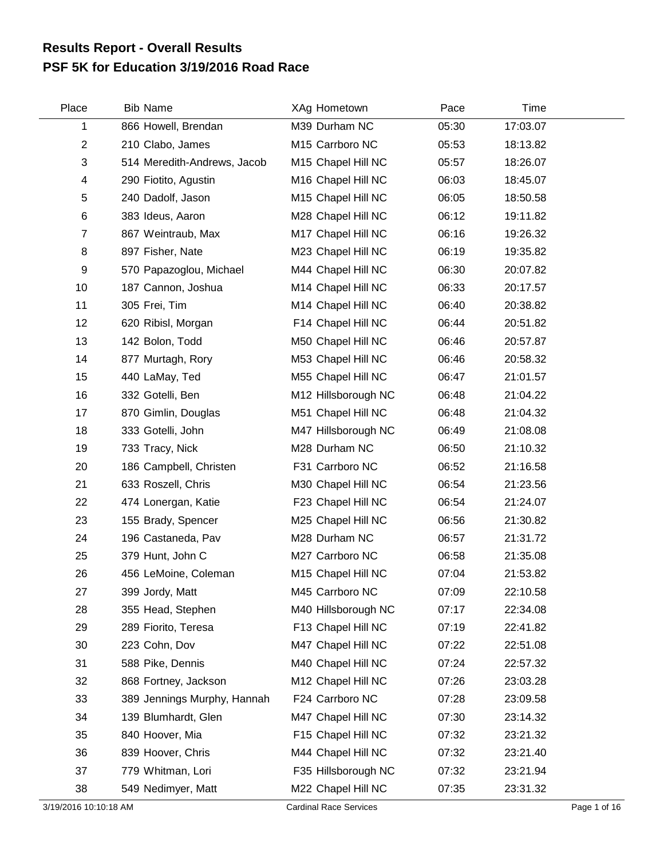## **PSF 5K for Education 3/19/2016 Road Race Results Report - Overall Results**

| Place                     | <b>Bib Name</b>             | XAg Hometown                  | Pace  | Time     |              |
|---------------------------|-----------------------------|-------------------------------|-------|----------|--------------|
| 1                         | 866 Howell, Brendan         | M39 Durham NC                 | 05:30 | 17:03.07 |              |
| $\mathbf{2}$              | 210 Clabo, James            | M15 Carrboro NC               | 05:53 | 18:13.82 |              |
| $\ensuremath{\mathsf{3}}$ | 514 Meredith-Andrews, Jacob | M15 Chapel Hill NC            | 05:57 | 18:26.07 |              |
| 4                         | 290 Fiotito, Agustin        | M16 Chapel Hill NC            | 06:03 | 18:45.07 |              |
| 5                         | 240 Dadolf, Jason           | M15 Chapel Hill NC            | 06:05 | 18:50.58 |              |
| 6                         | 383 Ideus, Aaron            | M28 Chapel Hill NC            | 06:12 | 19:11.82 |              |
| $\overline{7}$            | 867 Weintraub, Max          | M17 Chapel Hill NC            | 06:16 | 19:26.32 |              |
| 8                         | 897 Fisher, Nate            | M23 Chapel Hill NC            | 06:19 | 19:35.82 |              |
| 9                         | 570 Papazoglou, Michael     | M44 Chapel Hill NC            | 06:30 | 20:07.82 |              |
| 10                        | 187 Cannon, Joshua          | M14 Chapel Hill NC            | 06:33 | 20:17.57 |              |
| 11                        | 305 Frei, Tim               | M14 Chapel Hill NC            | 06:40 | 20:38.82 |              |
| 12                        | 620 Ribisl, Morgan          | F14 Chapel Hill NC            | 06:44 | 20:51.82 |              |
| 13                        | 142 Bolon, Todd             | M50 Chapel Hill NC            | 06:46 | 20:57.87 |              |
| 14                        | 877 Murtagh, Rory           | M53 Chapel Hill NC            | 06:46 | 20:58.32 |              |
| 15                        | 440 LaMay, Ted              | M55 Chapel Hill NC            | 06:47 | 21:01.57 |              |
| 16                        | 332 Gotelli, Ben            | M12 Hillsborough NC           | 06:48 | 21:04.22 |              |
| 17                        | 870 Gimlin, Douglas         | M51 Chapel Hill NC            | 06:48 | 21:04.32 |              |
| 18                        | 333 Gotelli, John           | M47 Hillsborough NC           | 06:49 | 21:08.08 |              |
| 19                        | 733 Tracy, Nick             | M28 Durham NC                 | 06:50 | 21:10.32 |              |
| 20                        | 186 Campbell, Christen      | F31 Carrboro NC               | 06:52 | 21:16.58 |              |
| 21                        | 633 Roszell, Chris          | M30 Chapel Hill NC            | 06:54 | 21:23.56 |              |
| 22                        | 474 Lonergan, Katie         | F23 Chapel Hill NC            | 06:54 | 21:24.07 |              |
| 23                        | 155 Brady, Spencer          | M25 Chapel Hill NC            | 06:56 | 21:30.82 |              |
| 24                        | 196 Castaneda, Pav          | M28 Durham NC                 | 06:57 | 21:31.72 |              |
| 25                        | 379 Hunt, John C            | M27 Carrboro NC               | 06:58 | 21:35.08 |              |
| 26                        | 456 LeMoine, Coleman        | M15 Chapel Hill NC            | 07:04 | 21:53.82 |              |
| 27                        | 399 Jordy, Matt             | M45 Carrboro NC               | 07:09 | 22:10.58 |              |
| 28                        | 355 Head, Stephen           | M40 Hillsborough NC           | 07:17 | 22:34.08 |              |
| 29                        | 289 Fiorito, Teresa         | F13 Chapel Hill NC            | 07:19 | 22:41.82 |              |
| 30                        | 223 Cohn, Dov               | M47 Chapel Hill NC            | 07:22 | 22:51.08 |              |
| 31                        | 588 Pike, Dennis            | M40 Chapel Hill NC            | 07:24 | 22:57.32 |              |
| 32                        | 868 Fortney, Jackson        | M12 Chapel Hill NC            | 07:26 | 23:03.28 |              |
| 33                        | 389 Jennings Murphy, Hannah | F24 Carrboro NC               | 07:28 | 23:09.58 |              |
| 34                        | 139 Blumhardt, Glen         | M47 Chapel Hill NC            | 07:30 | 23:14.32 |              |
| 35                        | 840 Hoover, Mia             | F15 Chapel Hill NC            | 07:32 | 23:21.32 |              |
| 36                        | 839 Hoover, Chris           | M44 Chapel Hill NC            | 07:32 | 23:21.40 |              |
| 37                        | 779 Whitman, Lori           | F35 Hillsborough NC           | 07:32 | 23:21.94 |              |
| 38                        | 549 Nedimyer, Matt          | M22 Chapel Hill NC            | 07:35 | 23:31.32 |              |
| 3/19/2016 10:10:18 AM     |                             | <b>Cardinal Race Services</b> |       |          | Page 1 of 16 |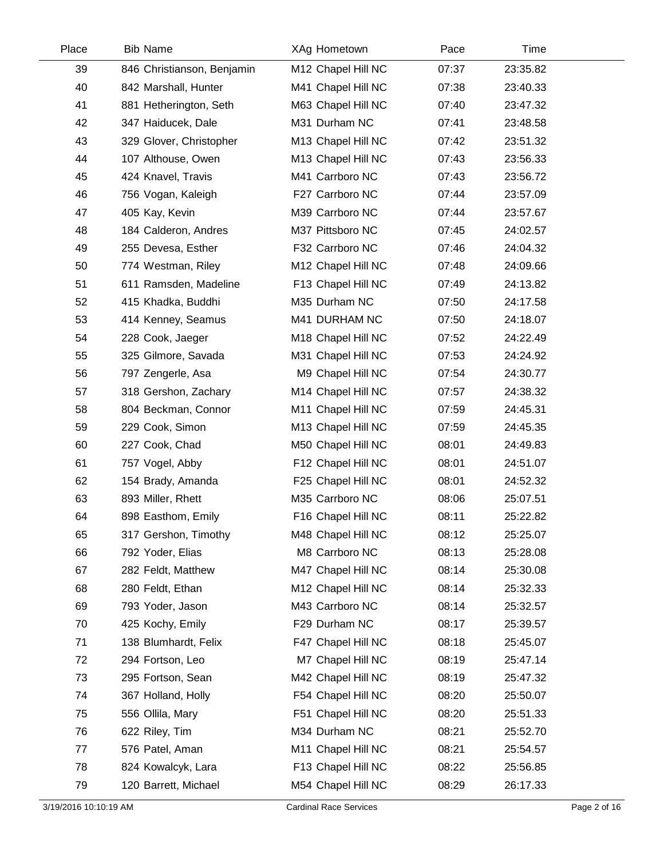| Place | <b>Bib Name</b>            | XAg Hometown       | Pace  | Time     |  |
|-------|----------------------------|--------------------|-------|----------|--|
| 39    | 846 Christianson, Benjamin | M12 Chapel Hill NC | 07:37 | 23:35.82 |  |
| 40    | 842 Marshall, Hunter       | M41 Chapel Hill NC | 07:38 | 23:40.33 |  |
| 41    | 881 Hetherington, Seth     | M63 Chapel Hill NC | 07:40 | 23:47.32 |  |
| 42    | 347 Haiducek, Dale         | M31 Durham NC      | 07:41 | 23:48.58 |  |
| 43    | 329 Glover, Christopher    | M13 Chapel Hill NC | 07:42 | 23:51.32 |  |
| 44    | 107 Althouse, Owen         | M13 Chapel Hill NC | 07:43 | 23:56.33 |  |
| 45    | 424 Knavel, Travis         | M41 Carrboro NC    | 07:43 | 23:56.72 |  |
| 46    | 756 Vogan, Kaleigh         | F27 Carrboro NC    | 07:44 | 23:57.09 |  |
| 47    | 405 Kay, Kevin             | M39 Carrboro NC    | 07:44 | 23:57.67 |  |
| 48    | 184 Calderon, Andres       | M37 Pittsboro NC   | 07:45 | 24:02.57 |  |
| 49    | 255 Devesa, Esther         | F32 Carrboro NC    | 07:46 | 24:04.32 |  |
| 50    | 774 Westman, Riley         | M12 Chapel Hill NC | 07:48 | 24:09.66 |  |
| 51    | 611 Ramsden, Madeline      | F13 Chapel Hill NC | 07:49 | 24:13.82 |  |
| 52    | 415 Khadka, Buddhi         | M35 Durham NC      | 07:50 | 24:17.58 |  |
| 53    | 414 Kenney, Seamus         | M41 DURHAM NC      | 07:50 | 24:18.07 |  |
| 54    | 228 Cook, Jaeger           | M18 Chapel Hill NC | 07:52 | 24:22.49 |  |
| 55    | 325 Gilmore, Savada        | M31 Chapel Hill NC | 07:53 | 24:24.92 |  |
| 56    | 797 Zengerle, Asa          | M9 Chapel Hill NC  | 07:54 | 24:30.77 |  |
| 57    | 318 Gershon, Zachary       | M14 Chapel Hill NC | 07:57 | 24:38.32 |  |
| 58    | 804 Beckman, Connor        | M11 Chapel Hill NC | 07:59 | 24:45.31 |  |
| 59    | 229 Cook, Simon            | M13 Chapel Hill NC | 07:59 | 24:45.35 |  |
| 60    | 227 Cook, Chad             | M50 Chapel Hill NC | 08:01 | 24:49.83 |  |
| 61    | 757 Vogel, Abby            | F12 Chapel Hill NC | 08:01 | 24:51.07 |  |
| 62    | 154 Brady, Amanda          | F25 Chapel Hill NC | 08:01 | 24:52.32 |  |
| 63    | 893 Miller, Rhett          | M35 Carrboro NC    | 08:06 | 25:07.51 |  |
| 64    | 898 Easthom, Emily         | F16 Chapel Hill NC | 08:11 | 25:22.82 |  |
| 65    | 317 Gershon, Timothy       | M48 Chapel Hill NC | 08:12 | 25:25.07 |  |
| 66    | 792 Yoder, Elias           | M8 Carrboro NC     | 08:13 | 25:28.08 |  |
| 67    | 282 Feldt, Matthew         | M47 Chapel Hill NC | 08:14 | 25:30.08 |  |
| 68    | 280 Feldt, Ethan           | M12 Chapel Hill NC | 08:14 | 25:32.33 |  |
| 69    | 793 Yoder, Jason           | M43 Carrboro NC    | 08:14 | 25:32.57 |  |
| 70    | 425 Kochy, Emily           | F29 Durham NC      | 08:17 | 25:39.57 |  |
| 71    | 138 Blumhardt, Felix       | F47 Chapel Hill NC | 08:18 | 25:45.07 |  |
| 72    | 294 Fortson, Leo           | M7 Chapel Hill NC  | 08:19 | 25:47.14 |  |
| 73    | 295 Fortson, Sean          | M42 Chapel Hill NC | 08:19 | 25:47.32 |  |
| 74    | 367 Holland, Holly         | F54 Chapel Hill NC | 08:20 | 25:50.07 |  |
| 75    | 556 Ollila, Mary           | F51 Chapel Hill NC | 08:20 | 25:51.33 |  |
| 76    | 622 Riley, Tim             | M34 Durham NC      | 08:21 | 25:52.70 |  |
| 77    | 576 Patel, Aman            | M11 Chapel Hill NC | 08:21 | 25:54.57 |  |
| 78    | 824 Kowalcyk, Lara         | F13 Chapel Hill NC | 08:22 | 25:56.85 |  |
| 79    | 120 Barrett, Michael       | M54 Chapel Hill NC | 08:29 | 26:17.33 |  |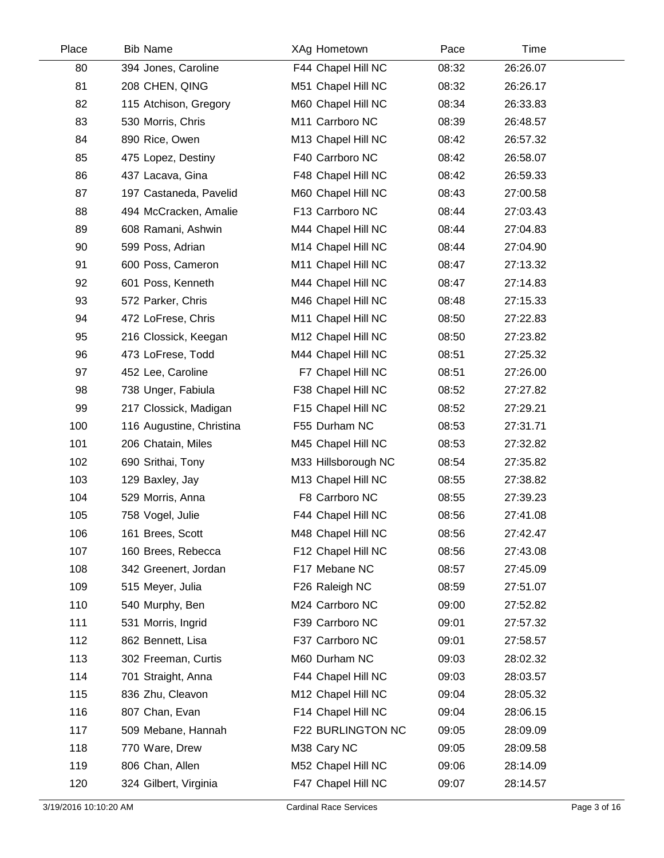| Place | <b>Bib Name</b>          | XAg Hometown        | Pace  | <b>Time</b> |  |
|-------|--------------------------|---------------------|-------|-------------|--|
| 80    | 394 Jones, Caroline      | F44 Chapel Hill NC  | 08:32 | 26:26.07    |  |
| 81    | 208 CHEN, QING           | M51 Chapel Hill NC  | 08:32 | 26:26.17    |  |
| 82    | 115 Atchison, Gregory    | M60 Chapel Hill NC  | 08:34 | 26:33.83    |  |
| 83    | 530 Morris, Chris        | M11 Carrboro NC     | 08:39 | 26:48.57    |  |
| 84    | 890 Rice, Owen           | M13 Chapel Hill NC  | 08:42 | 26:57.32    |  |
| 85    | 475 Lopez, Destiny       | F40 Carrboro NC     | 08:42 | 26:58.07    |  |
| 86    | 437 Lacava, Gina         | F48 Chapel Hill NC  | 08:42 | 26:59.33    |  |
| 87    | 197 Castaneda, Pavelid   | M60 Chapel Hill NC  | 08:43 | 27:00.58    |  |
| 88    | 494 McCracken, Amalie    | F13 Carrboro NC     | 08:44 | 27:03.43    |  |
| 89    | 608 Ramani, Ashwin       | M44 Chapel Hill NC  | 08:44 | 27:04.83    |  |
| 90    | 599 Poss, Adrian         | M14 Chapel Hill NC  | 08:44 | 27:04.90    |  |
| 91    | 600 Poss, Cameron        | M11 Chapel Hill NC  | 08:47 | 27:13.32    |  |
| 92    | 601 Poss, Kenneth        | M44 Chapel Hill NC  | 08:47 | 27:14.83    |  |
| 93    | 572 Parker, Chris        | M46 Chapel Hill NC  | 08:48 | 27:15.33    |  |
| 94    | 472 LoFrese, Chris       | M11 Chapel Hill NC  | 08:50 | 27:22.83    |  |
| 95    | 216 Clossick, Keegan     | M12 Chapel Hill NC  | 08:50 | 27:23.82    |  |
| 96    | 473 LoFrese, Todd        | M44 Chapel Hill NC  | 08:51 | 27:25.32    |  |
| 97    | 452 Lee, Caroline        | F7 Chapel Hill NC   | 08:51 | 27:26.00    |  |
| 98    | 738 Unger, Fabiula       | F38 Chapel Hill NC  | 08:52 | 27:27.82    |  |
| 99    | 217 Clossick, Madigan    | F15 Chapel Hill NC  | 08:52 | 27:29.21    |  |
| 100   | 116 Augustine, Christina | F55 Durham NC       | 08:53 | 27:31.71    |  |
| 101   | 206 Chatain, Miles       | M45 Chapel Hill NC  | 08:53 | 27:32.82    |  |
| 102   | 690 Srithai, Tony        | M33 Hillsborough NC | 08:54 | 27:35.82    |  |
| 103   | 129 Baxley, Jay          | M13 Chapel Hill NC  | 08:55 | 27:38.82    |  |
| 104   | 529 Morris, Anna         | F8 Carrboro NC      | 08:55 | 27:39.23    |  |
| 105   | 758 Vogel, Julie         | F44 Chapel Hill NC  | 08:56 | 27:41.08    |  |
| 106   | 161 Brees, Scott         | M48 Chapel Hill NC  | 08:56 | 27:42.47    |  |
| 107   | 160 Brees, Rebecca       | F12 Chapel Hill NC  | 08:56 | 27:43.08    |  |
| 108   | 342 Greenert, Jordan     | F17 Mebane NC       | 08:57 | 27:45.09    |  |
| 109   | 515 Meyer, Julia         | F26 Raleigh NC      | 08:59 | 27:51.07    |  |
| 110   | 540 Murphy, Ben          | M24 Carrboro NC     | 09:00 | 27:52.82    |  |
| 111   | 531 Morris, Ingrid       | F39 Carrboro NC     | 09:01 | 27:57.32    |  |
| 112   | 862 Bennett, Lisa        | F37 Carrboro NC     | 09:01 | 27:58.57    |  |
| 113   | 302 Freeman, Curtis      | M60 Durham NC       | 09:03 | 28:02.32    |  |
| 114   | 701 Straight, Anna       | F44 Chapel Hill NC  | 09:03 | 28:03.57    |  |
| 115   | 836 Zhu, Cleavon         | M12 Chapel Hill NC  | 09:04 | 28:05.32    |  |
| 116   | 807 Chan, Evan           | F14 Chapel Hill NC  | 09:04 | 28:06.15    |  |
| 117   | 509 Mebane, Hannah       | F22 BURLINGTON NC   | 09:05 | 28:09.09    |  |
| 118   | 770 Ware, Drew           | M38 Cary NC         | 09:05 | 28:09.58    |  |
| 119   | 806 Chan, Allen          | M52 Chapel Hill NC  | 09:06 | 28:14.09    |  |
| 120   | 324 Gilbert, Virginia    | F47 Chapel Hill NC  | 09:07 | 28:14.57    |  |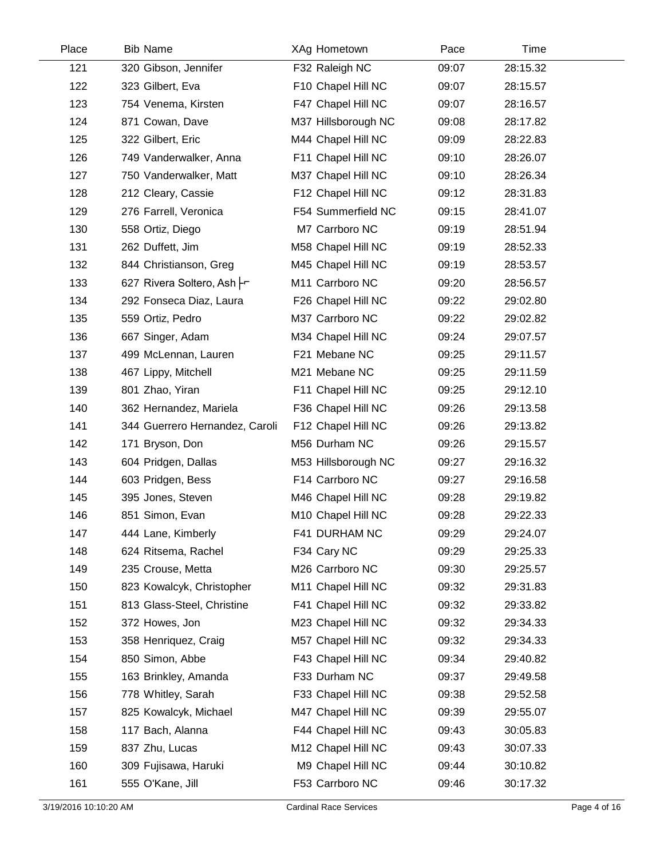| Place | <b>Bib Name</b>                | XAg Hometown        | Pace  | Time     |  |
|-------|--------------------------------|---------------------|-------|----------|--|
| 121   | 320 Gibson, Jennifer           | F32 Raleigh NC      | 09:07 | 28:15.32 |  |
| 122   | 323 Gilbert, Eva               | F10 Chapel Hill NC  | 09:07 | 28:15.57 |  |
| 123   | 754 Venema, Kirsten            | F47 Chapel Hill NC  | 09:07 | 28:16.57 |  |
| 124   | 871 Cowan, Dave                | M37 Hillsborough NC | 09:08 | 28:17.82 |  |
| 125   | 322 Gilbert, Eric              | M44 Chapel Hill NC  | 09:09 | 28:22.83 |  |
| 126   | 749 Vanderwalker, Anna         | F11 Chapel Hill NC  | 09:10 | 28:26.07 |  |
| 127   | 750 Vanderwalker, Matt         | M37 Chapel Hill NC  | 09:10 | 28:26.34 |  |
| 128   | 212 Cleary, Cassie             | F12 Chapel Hill NC  | 09:12 | 28:31.83 |  |
| 129   | 276 Farrell, Veronica          | F54 Summerfield NC  | 09:15 | 28:41.07 |  |
| 130   | 558 Ortiz, Diego               | M7 Carrboro NC      | 09:19 | 28:51.94 |  |
| 131   | 262 Duffett, Jim               | M58 Chapel Hill NC  | 09:19 | 28:52.33 |  |
| 132   | 844 Christianson, Greg         | M45 Chapel Hill NC  | 09:19 | 28:53.57 |  |
| 133   | 627 Rivera Soltero, Ash Fr     | M11 Carrboro NC     | 09:20 | 28:56.57 |  |
| 134   | 292 Fonseca Diaz, Laura        | F26 Chapel Hill NC  | 09:22 | 29:02.80 |  |
| 135   | 559 Ortiz, Pedro               | M37 Carrboro NC     | 09:22 | 29:02.82 |  |
| 136   | 667 Singer, Adam               | M34 Chapel Hill NC  | 09:24 | 29:07.57 |  |
| 137   | 499 McLennan, Lauren           | F21 Mebane NC       | 09:25 | 29:11.57 |  |
| 138   | 467 Lippy, Mitchell            | M21 Mebane NC       | 09:25 | 29:11.59 |  |
| 139   | 801 Zhao, Yiran                | F11 Chapel Hill NC  | 09:25 | 29:12.10 |  |
| 140   | 362 Hernandez, Mariela         | F36 Chapel Hill NC  | 09:26 | 29:13.58 |  |
| 141   | 344 Guerrero Hernandez, Caroli | F12 Chapel Hill NC  | 09:26 | 29:13.82 |  |
| 142   | 171 Bryson, Don                | M56 Durham NC       | 09:26 | 29:15.57 |  |
| 143   | 604 Pridgen, Dallas            | M53 Hillsborough NC | 09:27 | 29:16.32 |  |
| 144   | 603 Pridgen, Bess              | F14 Carrboro NC     | 09:27 | 29:16.58 |  |
| 145   | 395 Jones, Steven              | M46 Chapel Hill NC  | 09:28 | 29:19.82 |  |
| 146   | 851 Simon, Evan                | M10 Chapel Hill NC  | 09:28 | 29:22.33 |  |
| 147   | 444 Lane, Kimberly             | F41 DURHAM NC       | 09:29 | 29:24.07 |  |
| 148   | 624 Ritsema, Rachel            | F34 Cary NC         | 09:29 | 29:25.33 |  |
| 149   | 235 Crouse, Metta              | M26 Carrboro NC     | 09:30 | 29:25.57 |  |
| 150   | 823 Kowalcyk, Christopher      | M11 Chapel Hill NC  | 09:32 | 29:31.83 |  |
| 151   | 813 Glass-Steel, Christine     | F41 Chapel Hill NC  | 09:32 | 29:33.82 |  |
| 152   | 372 Howes, Jon                 | M23 Chapel Hill NC  | 09:32 | 29:34.33 |  |
| 153   | 358 Henriquez, Craig           | M57 Chapel Hill NC  | 09:32 | 29:34.33 |  |
| 154   | 850 Simon, Abbe                | F43 Chapel Hill NC  | 09:34 | 29:40.82 |  |
| 155   | 163 Brinkley, Amanda           | F33 Durham NC       | 09:37 | 29:49.58 |  |
| 156   | 778 Whitley, Sarah             | F33 Chapel Hill NC  | 09:38 | 29:52.58 |  |
| 157   | 825 Kowalcyk, Michael          | M47 Chapel Hill NC  | 09:39 | 29:55.07 |  |
| 158   | 117 Bach, Alanna               | F44 Chapel Hill NC  | 09:43 | 30:05.83 |  |
| 159   | 837 Zhu, Lucas                 | M12 Chapel Hill NC  | 09:43 | 30:07.33 |  |
| 160   | 309 Fujisawa, Haruki           | M9 Chapel Hill NC   | 09:44 | 30:10.82 |  |
| 161   | 555 O'Kane, Jill               | F53 Carrboro NC     | 09:46 | 30:17.32 |  |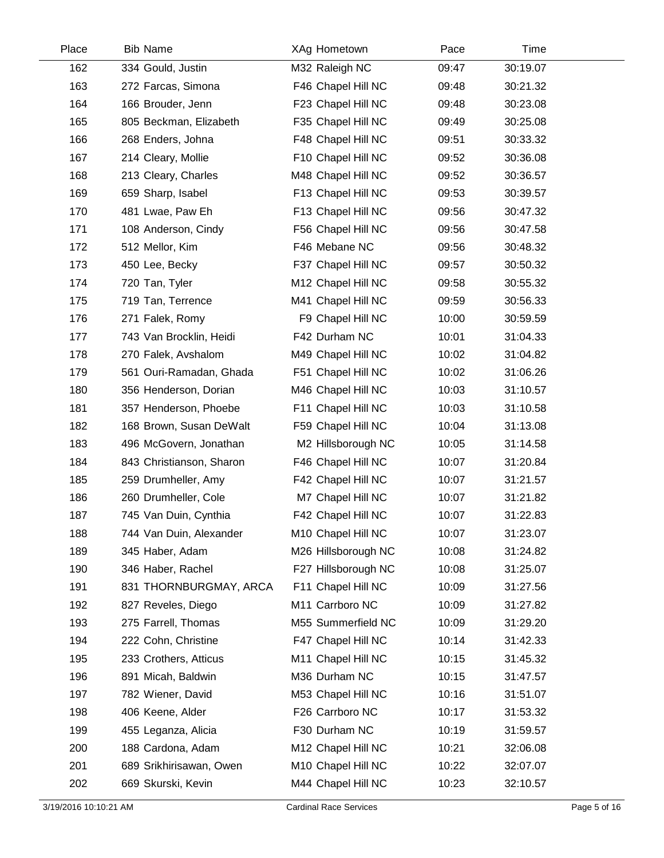| Place | <b>Bib Name</b>          | XAg Hometown        | Pace  | Time     |  |
|-------|--------------------------|---------------------|-------|----------|--|
| 162   | 334 Gould, Justin        | M32 Raleigh NC      | 09:47 | 30:19.07 |  |
| 163   | 272 Farcas, Simona       | F46 Chapel Hill NC  | 09:48 | 30:21.32 |  |
| 164   | 166 Brouder, Jenn        | F23 Chapel Hill NC  | 09:48 | 30:23.08 |  |
| 165   | 805 Beckman, Elizabeth   | F35 Chapel Hill NC  | 09:49 | 30:25.08 |  |
| 166   | 268 Enders, Johna        | F48 Chapel Hill NC  | 09:51 | 30:33.32 |  |
| 167   | 214 Cleary, Mollie       | F10 Chapel Hill NC  | 09:52 | 30:36.08 |  |
| 168   | 213 Cleary, Charles      | M48 Chapel Hill NC  | 09:52 | 30:36.57 |  |
| 169   | 659 Sharp, Isabel        | F13 Chapel Hill NC  | 09:53 | 30:39.57 |  |
| 170   | 481 Lwae, Paw Eh         | F13 Chapel Hill NC  | 09:56 | 30:47.32 |  |
| 171   | 108 Anderson, Cindy      | F56 Chapel Hill NC  | 09:56 | 30:47.58 |  |
| 172   | 512 Mellor, Kim          | F46 Mebane NC       | 09:56 | 30:48.32 |  |
| 173   | 450 Lee, Becky           | F37 Chapel Hill NC  | 09:57 | 30:50.32 |  |
| 174   | 720 Tan, Tyler           | M12 Chapel Hill NC  | 09:58 | 30:55.32 |  |
| 175   | 719 Tan, Terrence        | M41 Chapel Hill NC  | 09:59 | 30:56.33 |  |
| 176   | 271 Falek, Romy          | F9 Chapel Hill NC   | 10:00 | 30:59.59 |  |
| 177   | 743 Van Brocklin, Heidi  | F42 Durham NC       | 10:01 | 31:04.33 |  |
| 178   | 270 Falek, Avshalom      | M49 Chapel Hill NC  | 10:02 | 31:04.82 |  |
| 179   | 561 Ouri-Ramadan, Ghada  | F51 Chapel Hill NC  | 10:02 | 31:06.26 |  |
| 180   | 356 Henderson, Dorian    | M46 Chapel Hill NC  | 10:03 | 31:10.57 |  |
| 181   | 357 Henderson, Phoebe    | F11 Chapel Hill NC  | 10:03 | 31:10.58 |  |
| 182   | 168 Brown, Susan DeWalt  | F59 Chapel Hill NC  | 10:04 | 31:13.08 |  |
| 183   | 496 McGovern, Jonathan   | M2 Hillsborough NC  | 10:05 | 31:14.58 |  |
| 184   | 843 Christianson, Sharon | F46 Chapel Hill NC  | 10:07 | 31:20.84 |  |
| 185   | 259 Drumheller, Amy      | F42 Chapel Hill NC  | 10:07 | 31:21.57 |  |
| 186   | 260 Drumheller, Cole     | M7 Chapel Hill NC   | 10:07 | 31:21.82 |  |
| 187   | 745 Van Duin, Cynthia    | F42 Chapel Hill NC  | 10:07 | 31:22.83 |  |
| 188   | 744 Van Duin, Alexander  | M10 Chapel Hill NC  | 10:07 | 31:23.07 |  |
| 189   | 345 Haber, Adam          | M26 Hillsborough NC | 10:08 | 31:24.82 |  |
| 190   | 346 Haber, Rachel        | F27 Hillsborough NC | 10:08 | 31:25.07 |  |
| 191   | 831 THORNBURGMAY, ARCA   | F11 Chapel Hill NC  | 10:09 | 31:27.56 |  |
| 192   | 827 Reveles, Diego       | M11 Carrboro NC     | 10:09 | 31:27.82 |  |
| 193   | 275 Farrell, Thomas      | M55 Summerfield NC  | 10:09 | 31:29.20 |  |
| 194   | 222 Cohn, Christine      | F47 Chapel Hill NC  | 10:14 | 31:42.33 |  |
| 195   | 233 Crothers, Atticus    | M11 Chapel Hill NC  | 10:15 | 31:45.32 |  |
| 196   | 891 Micah, Baldwin       | M36 Durham NC       | 10:15 | 31:47.57 |  |
| 197   | 782 Wiener, David        | M53 Chapel Hill NC  | 10:16 | 31:51.07 |  |
| 198   | 406 Keene, Alder         | F26 Carrboro NC     | 10:17 | 31:53.32 |  |
| 199   | 455 Leganza, Alicia      | F30 Durham NC       | 10:19 | 31:59.57 |  |
| 200   | 188 Cardona, Adam        | M12 Chapel Hill NC  | 10:21 | 32:06.08 |  |
| 201   | 689 Srikhirisawan, Owen  | M10 Chapel Hill NC  | 10:22 | 32:07.07 |  |
| 202   | 669 Skurski, Kevin       | M44 Chapel Hill NC  | 10:23 | 32:10.57 |  |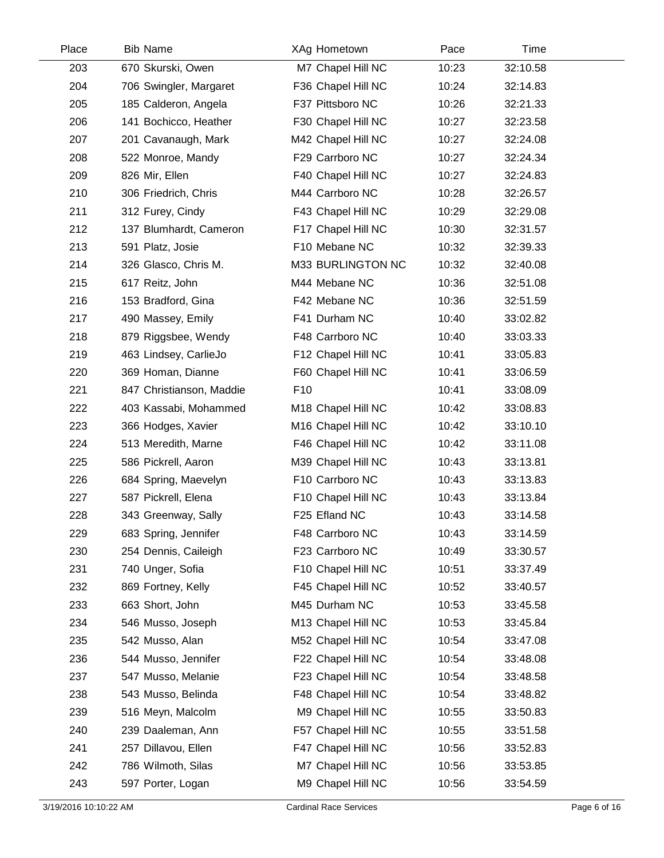| Place | <b>Bib Name</b>          | XAg Hometown       | Pace  | Time     |  |
|-------|--------------------------|--------------------|-------|----------|--|
| 203   | 670 Skurski, Owen        | M7 Chapel Hill NC  | 10:23 | 32:10.58 |  |
| 204   | 706 Swingler, Margaret   | F36 Chapel Hill NC | 10:24 | 32:14.83 |  |
| 205   | 185 Calderon, Angela     | F37 Pittsboro NC   | 10:26 | 32:21.33 |  |
| 206   | 141 Bochicco, Heather    | F30 Chapel Hill NC | 10:27 | 32:23.58 |  |
| 207   | 201 Cavanaugh, Mark      | M42 Chapel Hill NC | 10:27 | 32:24.08 |  |
| 208   | 522 Monroe, Mandy        | F29 Carrboro NC    | 10:27 | 32:24.34 |  |
| 209   | 826 Mir, Ellen           | F40 Chapel Hill NC | 10:27 | 32:24.83 |  |
| 210   | 306 Friedrich, Chris     | M44 Carrboro NC    | 10:28 | 32:26.57 |  |
| 211   | 312 Furey, Cindy         | F43 Chapel Hill NC | 10:29 | 32:29.08 |  |
| 212   | 137 Blumhardt, Cameron   | F17 Chapel Hill NC | 10:30 | 32:31.57 |  |
| 213   | 591 Platz, Josie         | F10 Mebane NC      | 10:32 | 32:39.33 |  |
| 214   | 326 Glasco, Chris M.     | M33 BURLINGTON NC  | 10:32 | 32:40.08 |  |
| 215   | 617 Reitz, John          | M44 Mebane NC      | 10:36 | 32:51.08 |  |
| 216   | 153 Bradford, Gina       | F42 Mebane NC      | 10:36 | 32:51.59 |  |
| 217   | 490 Massey, Emily        | F41 Durham NC      | 10:40 | 33:02.82 |  |
| 218   | 879 Riggsbee, Wendy      | F48 Carrboro NC    | 10:40 | 33:03.33 |  |
| 219   | 463 Lindsey, CarlieJo    | F12 Chapel Hill NC | 10:41 | 33:05.83 |  |
| 220   | 369 Homan, Dianne        | F60 Chapel Hill NC | 10:41 | 33:06.59 |  |
| 221   | 847 Christianson, Maddie | F <sub>10</sub>    | 10:41 | 33:08.09 |  |
| 222   | 403 Kassabi, Mohammed    | M18 Chapel Hill NC | 10:42 | 33:08.83 |  |
| 223   | 366 Hodges, Xavier       | M16 Chapel Hill NC | 10:42 | 33:10.10 |  |
| 224   | 513 Meredith, Marne      | F46 Chapel Hill NC | 10:42 | 33:11.08 |  |
| 225   | 586 Pickrell, Aaron      | M39 Chapel Hill NC | 10:43 | 33:13.81 |  |
| 226   | 684 Spring, Maevelyn     | F10 Carrboro NC    | 10:43 | 33:13.83 |  |
| 227   | 587 Pickrell, Elena      | F10 Chapel Hill NC | 10:43 | 33:13.84 |  |
| 228   | 343 Greenway, Sally      | F25 Efland NC      | 10:43 | 33:14.58 |  |
| 229   | 683 Spring, Jennifer     | F48 Carrboro NC    | 10:43 | 33:14.59 |  |
| 230   | 254 Dennis, Caileigh     | F23 Carrboro NC    | 10:49 | 33:30.57 |  |
| 231   | 740 Unger, Sofia         | F10 Chapel Hill NC | 10:51 | 33:37.49 |  |
| 232   | 869 Fortney, Kelly       | F45 Chapel Hill NC | 10:52 | 33:40.57 |  |
| 233   | 663 Short, John          | M45 Durham NC      | 10:53 | 33:45.58 |  |
| 234   | 546 Musso, Joseph        | M13 Chapel Hill NC | 10:53 | 33:45.84 |  |
| 235   | 542 Musso, Alan          | M52 Chapel Hill NC | 10:54 | 33:47.08 |  |
| 236   | 544 Musso, Jennifer      | F22 Chapel Hill NC | 10:54 | 33:48.08 |  |
| 237   | 547 Musso, Melanie       | F23 Chapel Hill NC | 10:54 | 33:48.58 |  |
| 238   | 543 Musso, Belinda       | F48 Chapel Hill NC | 10:54 | 33:48.82 |  |
| 239   | 516 Meyn, Malcolm        | M9 Chapel Hill NC  | 10:55 | 33:50.83 |  |
| 240   | 239 Daaleman, Ann        | F57 Chapel Hill NC | 10:55 | 33:51.58 |  |
| 241   | 257 Dillavou, Ellen      | F47 Chapel Hill NC | 10:56 | 33:52.83 |  |
| 242   | 786 Wilmoth, Silas       | M7 Chapel Hill NC  | 10:56 | 33:53.85 |  |
| 243   | 597 Porter, Logan        | M9 Chapel Hill NC  | 10:56 | 33:54.59 |  |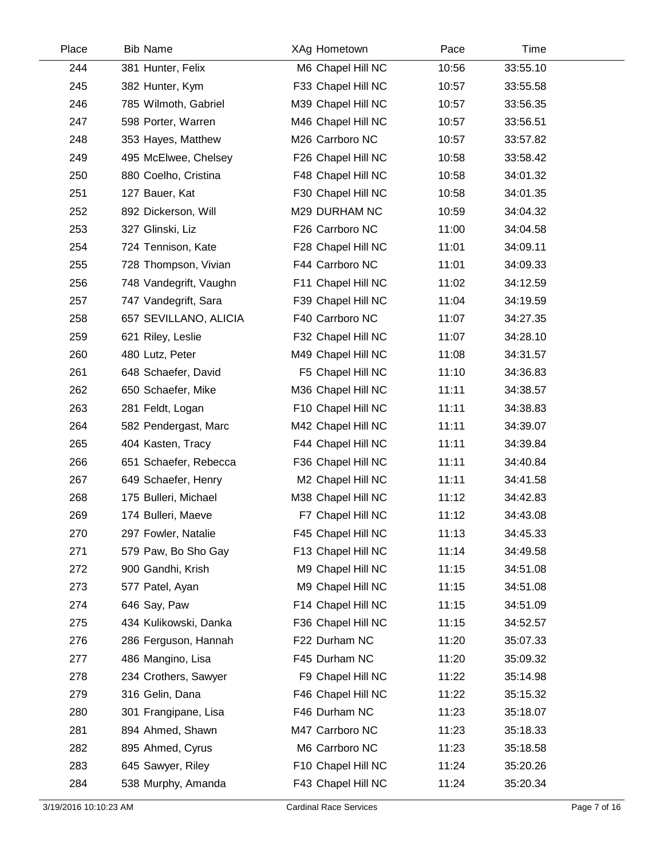| Place | <b>Bib Name</b>        | XAg Hometown       | Pace  | Time     |  |
|-------|------------------------|--------------------|-------|----------|--|
| 244   | 381 Hunter, Felix      | M6 Chapel Hill NC  | 10:56 | 33:55.10 |  |
| 245   | 382 Hunter, Kym        | F33 Chapel Hill NC | 10:57 | 33:55.58 |  |
| 246   | 785 Wilmoth, Gabriel   | M39 Chapel Hill NC | 10:57 | 33:56.35 |  |
| 247   | 598 Porter, Warren     | M46 Chapel Hill NC | 10:57 | 33:56.51 |  |
| 248   | 353 Hayes, Matthew     | M26 Carrboro NC    | 10:57 | 33:57.82 |  |
| 249   | 495 McElwee, Chelsey   | F26 Chapel Hill NC | 10:58 | 33:58.42 |  |
| 250   | 880 Coelho, Cristina   | F48 Chapel Hill NC | 10:58 | 34:01.32 |  |
| 251   | 127 Bauer, Kat         | F30 Chapel Hill NC | 10:58 | 34:01.35 |  |
| 252   | 892 Dickerson, Will    | M29 DURHAM NC      | 10:59 | 34:04.32 |  |
| 253   | 327 Glinski, Liz       | F26 Carrboro NC    | 11:00 | 34:04.58 |  |
| 254   | 724 Tennison, Kate     | F28 Chapel Hill NC | 11:01 | 34:09.11 |  |
| 255   | 728 Thompson, Vivian   | F44 Carrboro NC    | 11:01 | 34:09.33 |  |
| 256   | 748 Vandegrift, Vaughn | F11 Chapel Hill NC | 11:02 | 34:12.59 |  |
| 257   | 747 Vandegrift, Sara   | F39 Chapel Hill NC | 11:04 | 34:19.59 |  |
| 258   | 657 SEVILLANO, ALICIA  | F40 Carrboro NC    | 11:07 | 34:27.35 |  |
| 259   | 621 Riley, Leslie      | F32 Chapel Hill NC | 11:07 | 34:28.10 |  |
| 260   | 480 Lutz, Peter        | M49 Chapel Hill NC | 11:08 | 34:31.57 |  |
| 261   | 648 Schaefer, David    | F5 Chapel Hill NC  | 11:10 | 34:36.83 |  |
| 262   | 650 Schaefer, Mike     | M36 Chapel Hill NC | 11:11 | 34:38.57 |  |
| 263   | 281 Feldt, Logan       | F10 Chapel Hill NC | 11:11 | 34:38.83 |  |
| 264   | 582 Pendergast, Marc   | M42 Chapel Hill NC | 11:11 | 34:39.07 |  |
| 265   | 404 Kasten, Tracy      | F44 Chapel Hill NC | 11:11 | 34:39.84 |  |
| 266   | 651 Schaefer, Rebecca  | F36 Chapel Hill NC | 11:11 | 34:40.84 |  |
| 267   | 649 Schaefer, Henry    | M2 Chapel Hill NC  | 11:11 | 34:41.58 |  |
| 268   | 175 Bulleri, Michael   | M38 Chapel Hill NC | 11:12 | 34:42.83 |  |
| 269   | 174 Bulleri, Maeve     | F7 Chapel Hill NC  | 11:12 | 34:43.08 |  |
| 270   | 297 Fowler, Natalie    | F45 Chapel Hill NC | 11:13 | 34:45.33 |  |
| 271   | 579 Paw, Bo Sho Gay    | F13 Chapel Hill NC | 11:14 | 34:49.58 |  |
| 272   | 900 Gandhi, Krish      | M9 Chapel Hill NC  | 11:15 | 34:51.08 |  |
| 273   | 577 Patel, Ayan        | M9 Chapel Hill NC  | 11:15 | 34:51.08 |  |
| 274   | 646 Say, Paw           | F14 Chapel Hill NC | 11:15 | 34:51.09 |  |
| 275   | 434 Kulikowski, Danka  | F36 Chapel Hill NC | 11:15 | 34:52.57 |  |
| 276   | 286 Ferguson, Hannah   | F22 Durham NC      | 11:20 | 35:07.33 |  |
| 277   | 486 Mangino, Lisa      | F45 Durham NC      | 11:20 | 35:09.32 |  |
| 278   | 234 Crothers, Sawyer   | F9 Chapel Hill NC  | 11:22 | 35:14.98 |  |
| 279   | 316 Gelin, Dana        | F46 Chapel Hill NC | 11:22 | 35:15.32 |  |
| 280   | 301 Frangipane, Lisa   | F46 Durham NC      | 11:23 | 35:18.07 |  |
| 281   | 894 Ahmed, Shawn       | M47 Carrboro NC    | 11:23 | 35:18.33 |  |
| 282   | 895 Ahmed, Cyrus       | M6 Carrboro NC     | 11:23 | 35:18.58 |  |
| 283   | 645 Sawyer, Riley      | F10 Chapel Hill NC | 11:24 | 35:20.26 |  |
| 284   | 538 Murphy, Amanda     | F43 Chapel Hill NC | 11:24 | 35:20.34 |  |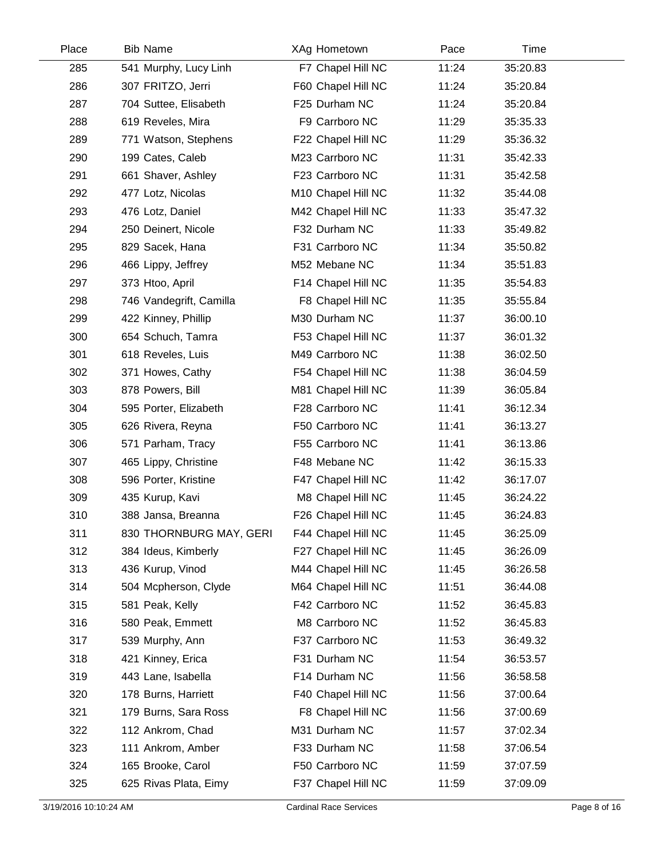| Place | <b>Bib Name</b>         | XAg Hometown       | Pace  | Time     |  |
|-------|-------------------------|--------------------|-------|----------|--|
| 285   | 541 Murphy, Lucy Linh   | F7 Chapel Hill NC  | 11:24 | 35:20.83 |  |
| 286   | 307 FRITZO, Jerri       | F60 Chapel Hill NC | 11:24 | 35:20.84 |  |
| 287   | 704 Suttee, Elisabeth   | F25 Durham NC      | 11:24 | 35:20.84 |  |
| 288   | 619 Reveles, Mira       | F9 Carrboro NC     | 11:29 | 35:35.33 |  |
| 289   | 771 Watson, Stephens    | F22 Chapel Hill NC | 11:29 | 35:36.32 |  |
| 290   | 199 Cates, Caleb        | M23 Carrboro NC    | 11:31 | 35:42.33 |  |
| 291   | 661 Shaver, Ashley      | F23 Carrboro NC    | 11:31 | 35:42.58 |  |
| 292   | 477 Lotz, Nicolas       | M10 Chapel Hill NC | 11:32 | 35:44.08 |  |
| 293   | 476 Lotz, Daniel        | M42 Chapel Hill NC | 11:33 | 35:47.32 |  |
| 294   | 250 Deinert, Nicole     | F32 Durham NC      | 11:33 | 35:49.82 |  |
| 295   | 829 Sacek, Hana         | F31 Carrboro NC    | 11:34 | 35:50.82 |  |
| 296   | 466 Lippy, Jeffrey      | M52 Mebane NC      | 11:34 | 35:51.83 |  |
| 297   | 373 Htoo, April         | F14 Chapel Hill NC | 11:35 | 35:54.83 |  |
| 298   | 746 Vandegrift, Camilla | F8 Chapel Hill NC  | 11:35 | 35:55.84 |  |
| 299   | 422 Kinney, Phillip     | M30 Durham NC      | 11:37 | 36:00.10 |  |
| 300   | 654 Schuch, Tamra       | F53 Chapel Hill NC | 11:37 | 36:01.32 |  |
| 301   | 618 Reveles, Luis       | M49 Carrboro NC    | 11:38 | 36:02.50 |  |
| 302   | 371 Howes, Cathy        | F54 Chapel Hill NC | 11:38 | 36:04.59 |  |
| 303   | 878 Powers, Bill        | M81 Chapel Hill NC | 11:39 | 36:05.84 |  |
| 304   | 595 Porter, Elizabeth   | F28 Carrboro NC    | 11:41 | 36:12.34 |  |
| 305   | 626 Rivera, Reyna       | F50 Carrboro NC    | 11:41 | 36:13.27 |  |
| 306   | 571 Parham, Tracy       | F55 Carrboro NC    | 11:41 | 36:13.86 |  |
| 307   | 465 Lippy, Christine    | F48 Mebane NC      | 11:42 | 36:15.33 |  |
| 308   | 596 Porter, Kristine    | F47 Chapel Hill NC | 11:42 | 36:17.07 |  |
| 309   | 435 Kurup, Kavi         | M8 Chapel Hill NC  | 11:45 | 36:24.22 |  |
| 310   | 388 Jansa, Breanna      | F26 Chapel Hill NC | 11:45 | 36:24.83 |  |
| 311   | 830 THORNBURG MAY, GERI | F44 Chapel Hill NC | 11:45 | 36:25.09 |  |
| 312   | 384 Ideus, Kimberly     | F27 Chapel Hill NC | 11:45 | 36:26.09 |  |
| 313   | 436 Kurup, Vinod        | M44 Chapel Hill NC | 11:45 | 36:26.58 |  |
| 314   | 504 Mcpherson, Clyde    | M64 Chapel Hill NC | 11:51 | 36:44.08 |  |
| 315   | 581 Peak, Kelly         | F42 Carrboro NC    | 11:52 | 36:45.83 |  |
| 316   | 580 Peak, Emmett        | M8 Carrboro NC     | 11:52 | 36:45.83 |  |
| 317   | 539 Murphy, Ann         | F37 Carrboro NC    | 11:53 | 36:49.32 |  |
| 318   | 421 Kinney, Erica       | F31 Durham NC      | 11:54 | 36:53.57 |  |
| 319   | 443 Lane, Isabella      | F14 Durham NC      | 11:56 | 36:58.58 |  |
| 320   | 178 Burns, Harriett     | F40 Chapel Hill NC | 11:56 | 37:00.64 |  |
| 321   | 179 Burns, Sara Ross    | F8 Chapel Hill NC  | 11:56 | 37:00.69 |  |
| 322   | 112 Ankrom, Chad        | M31 Durham NC      | 11:57 | 37:02.34 |  |
| 323   | 111 Ankrom, Amber       | F33 Durham NC      | 11:58 | 37:06.54 |  |
| 324   | 165 Brooke, Carol       | F50 Carrboro NC    | 11:59 | 37:07.59 |  |
| 325   | 625 Rivas Plata, Eimy   | F37 Chapel Hill NC | 11:59 | 37:09.09 |  |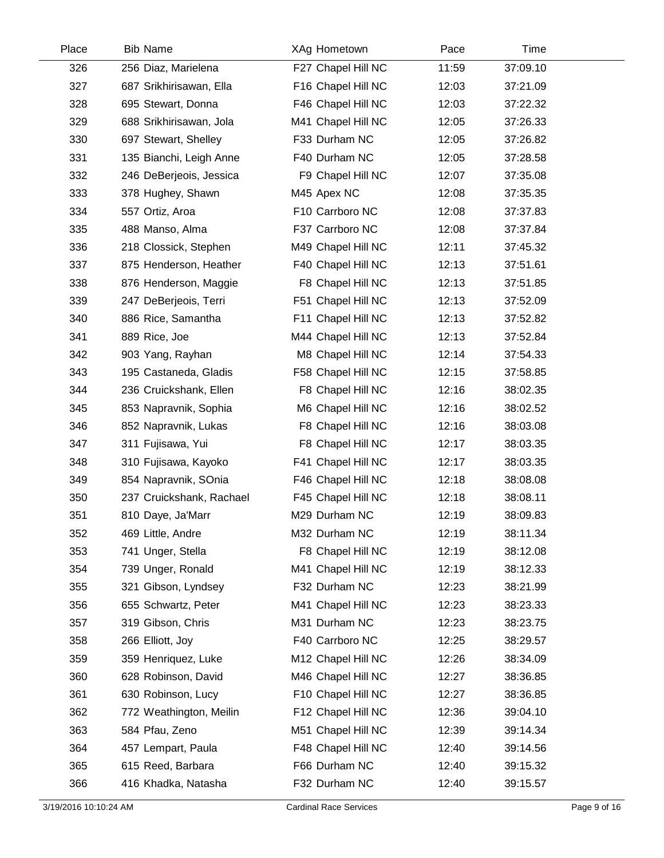| Place | <b>Bib Name</b>          | XAg Hometown       | Pace  | Time     |  |
|-------|--------------------------|--------------------|-------|----------|--|
| 326   | 256 Diaz, Marielena      | F27 Chapel Hill NC | 11:59 | 37:09.10 |  |
| 327   | 687 Srikhirisawan, Ella  | F16 Chapel Hill NC | 12:03 | 37:21.09 |  |
| 328   | 695 Stewart, Donna       | F46 Chapel Hill NC | 12:03 | 37:22.32 |  |
| 329   | 688 Srikhirisawan, Jola  | M41 Chapel Hill NC | 12:05 | 37:26.33 |  |
| 330   | 697 Stewart, Shelley     | F33 Durham NC      | 12:05 | 37:26.82 |  |
| 331   | 135 Bianchi, Leigh Anne  | F40 Durham NC      | 12:05 | 37:28.58 |  |
| 332   | 246 DeBerjeois, Jessica  | F9 Chapel Hill NC  | 12:07 | 37:35.08 |  |
| 333   | 378 Hughey, Shawn        | M45 Apex NC        | 12:08 | 37:35.35 |  |
| 334   | 557 Ortiz, Aroa          | F10 Carrboro NC    | 12:08 | 37:37.83 |  |
| 335   | 488 Manso, Alma          | F37 Carrboro NC    | 12:08 | 37:37.84 |  |
| 336   | 218 Clossick, Stephen    | M49 Chapel Hill NC | 12:11 | 37:45.32 |  |
| 337   | 875 Henderson, Heather   | F40 Chapel Hill NC | 12:13 | 37:51.61 |  |
| 338   | 876 Henderson, Maggie    | F8 Chapel Hill NC  | 12:13 | 37:51.85 |  |
| 339   | 247 DeBerjeois, Terri    | F51 Chapel Hill NC | 12:13 | 37:52.09 |  |
| 340   | 886 Rice, Samantha       | F11 Chapel Hill NC | 12:13 | 37:52.82 |  |
| 341   | 889 Rice, Joe            | M44 Chapel Hill NC | 12:13 | 37:52.84 |  |
| 342   | 903 Yang, Rayhan         | M8 Chapel Hill NC  | 12:14 | 37:54.33 |  |
| 343   | 195 Castaneda, Gladis    | F58 Chapel Hill NC | 12:15 | 37:58.85 |  |
| 344   | 236 Cruickshank, Ellen   | F8 Chapel Hill NC  | 12:16 | 38:02.35 |  |
| 345   | 853 Napravnik, Sophia    | M6 Chapel Hill NC  | 12:16 | 38:02.52 |  |
| 346   | 852 Napravnik, Lukas     | F8 Chapel Hill NC  | 12:16 | 38:03.08 |  |
| 347   | 311 Fujisawa, Yui        | F8 Chapel Hill NC  | 12:17 | 38:03.35 |  |
| 348   | 310 Fujisawa, Kayoko     | F41 Chapel Hill NC | 12:17 | 38:03.35 |  |
| 349   | 854 Napravnik, SOnia     | F46 Chapel Hill NC | 12:18 | 38:08.08 |  |
| 350   | 237 Cruickshank, Rachael | F45 Chapel Hill NC | 12:18 | 38:08.11 |  |
| 351   | 810 Daye, Ja'Marr        | M29 Durham NC      | 12:19 | 38:09.83 |  |
| 352   | 469 Little, Andre        | M32 Durham NC      | 12:19 | 38:11.34 |  |
| 353   | 741 Unger, Stella        | F8 Chapel Hill NC  | 12:19 | 38:12.08 |  |
| 354   | 739 Unger, Ronald        | M41 Chapel Hill NC | 12:19 | 38:12.33 |  |
| 355   | 321 Gibson, Lyndsey      | F32 Durham NC      | 12:23 | 38:21.99 |  |
| 356   | 655 Schwartz, Peter      | M41 Chapel Hill NC | 12:23 | 38:23.33 |  |
| 357   | 319 Gibson, Chris        | M31 Durham NC      | 12:23 | 38:23.75 |  |
| 358   | 266 Elliott, Joy         | F40 Carrboro NC    | 12:25 | 38:29.57 |  |
| 359   | 359 Henriquez, Luke      | M12 Chapel Hill NC | 12:26 | 38:34.09 |  |
| 360   | 628 Robinson, David      | M46 Chapel Hill NC | 12:27 | 38:36.85 |  |
| 361   | 630 Robinson, Lucy       | F10 Chapel Hill NC | 12:27 | 38:36.85 |  |
| 362   | 772 Weathington, Meilin  | F12 Chapel Hill NC | 12:36 | 39:04.10 |  |
| 363   | 584 Pfau, Zeno           | M51 Chapel Hill NC | 12:39 | 39:14.34 |  |
| 364   | 457 Lempart, Paula       | F48 Chapel Hill NC | 12:40 | 39:14.56 |  |
| 365   | 615 Reed, Barbara        | F66 Durham NC      | 12:40 | 39:15.32 |  |
| 366   | 416 Khadka, Natasha      | F32 Durham NC      | 12:40 | 39:15.57 |  |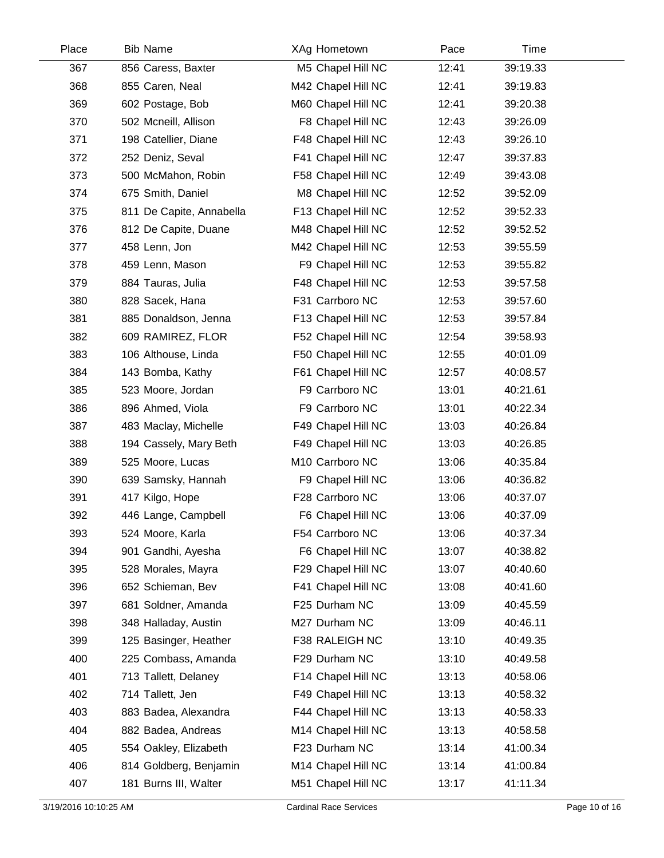| Place | <b>Bib Name</b>          | XAg Hometown       | Pace  | Time     |  |
|-------|--------------------------|--------------------|-------|----------|--|
| 367   | 856 Caress, Baxter       | M5 Chapel Hill NC  | 12:41 | 39:19.33 |  |
| 368   | 855 Caren, Neal          | M42 Chapel Hill NC | 12:41 | 39:19.83 |  |
| 369   | 602 Postage, Bob         | M60 Chapel Hill NC | 12:41 | 39:20.38 |  |
| 370   | 502 Mcneill, Allison     | F8 Chapel Hill NC  | 12:43 | 39:26.09 |  |
| 371   | 198 Catellier, Diane     | F48 Chapel Hill NC | 12:43 | 39:26.10 |  |
| 372   | 252 Deniz, Seval         | F41 Chapel Hill NC | 12:47 | 39:37.83 |  |
| 373   | 500 McMahon, Robin       | F58 Chapel Hill NC | 12:49 | 39:43.08 |  |
| 374   | 675 Smith, Daniel        | M8 Chapel Hill NC  | 12:52 | 39:52.09 |  |
| 375   | 811 De Capite, Annabella | F13 Chapel Hill NC | 12:52 | 39:52.33 |  |
| 376   | 812 De Capite, Duane     | M48 Chapel Hill NC | 12:52 | 39:52.52 |  |
| 377   | 458 Lenn, Jon            | M42 Chapel Hill NC | 12:53 | 39:55.59 |  |
| 378   | 459 Lenn, Mason          | F9 Chapel Hill NC  | 12:53 | 39:55.82 |  |
| 379   | 884 Tauras, Julia        | F48 Chapel Hill NC | 12:53 | 39:57.58 |  |
| 380   | 828 Sacek, Hana          | F31 Carrboro NC    | 12:53 | 39:57.60 |  |
| 381   | 885 Donaldson, Jenna     | F13 Chapel Hill NC | 12:53 | 39:57.84 |  |
| 382   | 609 RAMIREZ, FLOR        | F52 Chapel Hill NC | 12:54 | 39:58.93 |  |
| 383   | 106 Althouse, Linda      | F50 Chapel Hill NC | 12:55 | 40:01.09 |  |
| 384   | 143 Bomba, Kathy         | F61 Chapel Hill NC | 12:57 | 40:08.57 |  |
| 385   | 523 Moore, Jordan        | F9 Carrboro NC     | 13:01 | 40:21.61 |  |
| 386   | 896 Ahmed, Viola         | F9 Carrboro NC     | 13:01 | 40:22.34 |  |
| 387   | 483 Maclay, Michelle     | F49 Chapel Hill NC | 13:03 | 40:26.84 |  |
| 388   | 194 Cassely, Mary Beth   | F49 Chapel Hill NC | 13:03 | 40:26.85 |  |
| 389   | 525 Moore, Lucas         | M10 Carrboro NC    | 13:06 | 40:35.84 |  |
| 390   | 639 Samsky, Hannah       | F9 Chapel Hill NC  | 13:06 | 40:36.82 |  |
| 391   | 417 Kilgo, Hope          | F28 Carrboro NC    | 13:06 | 40:37.07 |  |
| 392   | 446 Lange, Campbell      | F6 Chapel Hill NC  | 13:06 | 40:37.09 |  |
| 393   | 524 Moore, Karla         | F54 Carrboro NC    | 13:06 | 40:37.34 |  |
| 394   | 901 Gandhi, Ayesha       | F6 Chapel Hill NC  | 13:07 | 40:38.82 |  |
| 395   | 528 Morales, Mayra       | F29 Chapel Hill NC | 13:07 | 40:40.60 |  |
| 396   | 652 Schieman, Bev        | F41 Chapel Hill NC | 13:08 | 40:41.60 |  |
| 397   | 681 Soldner, Amanda      | F25 Durham NC      | 13:09 | 40:45.59 |  |
| 398   | 348 Halladay, Austin     | M27 Durham NC      | 13:09 | 40:46.11 |  |
| 399   | 125 Basinger, Heather    | F38 RALEIGH NC     | 13:10 | 40:49.35 |  |
| 400   | 225 Combass, Amanda      | F29 Durham NC      | 13:10 | 40:49.58 |  |
| 401   | 713 Tallett, Delaney     | F14 Chapel Hill NC | 13:13 | 40:58.06 |  |
| 402   | 714 Tallett, Jen         | F49 Chapel Hill NC | 13:13 | 40:58.32 |  |
| 403   | 883 Badea, Alexandra     | F44 Chapel Hill NC | 13:13 | 40:58.33 |  |
| 404   | 882 Badea, Andreas       | M14 Chapel Hill NC | 13:13 | 40:58.58 |  |
| 405   | 554 Oakley, Elizabeth    | F23 Durham NC      | 13:14 | 41:00.34 |  |
| 406   | 814 Goldberg, Benjamin   | M14 Chapel Hill NC | 13:14 | 41:00.84 |  |
| 407   | 181 Burns III, Walter    | M51 Chapel Hill NC | 13:17 | 41:11.34 |  |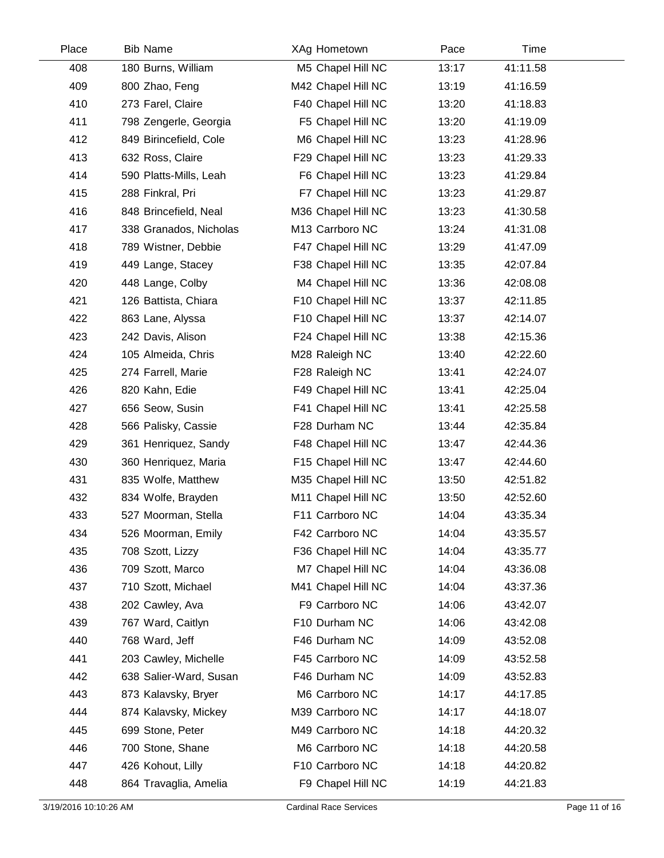| Place | <b>Bib Name</b>        | XAg Hometown       | Pace  | Time     |  |
|-------|------------------------|--------------------|-------|----------|--|
| 408   | 180 Burns, William     | M5 Chapel Hill NC  | 13:17 | 41:11.58 |  |
| 409   | 800 Zhao, Feng         | M42 Chapel Hill NC | 13:19 | 41:16.59 |  |
| 410   | 273 Farel, Claire      | F40 Chapel Hill NC | 13:20 | 41:18.83 |  |
| 411   | 798 Zengerle, Georgia  | F5 Chapel Hill NC  | 13:20 | 41:19.09 |  |
| 412   | 849 Birincefield, Cole | M6 Chapel Hill NC  | 13:23 | 41:28.96 |  |
| 413   | 632 Ross, Claire       | F29 Chapel Hill NC | 13:23 | 41:29.33 |  |
| 414   | 590 Platts-Mills, Leah | F6 Chapel Hill NC  | 13:23 | 41:29.84 |  |
| 415   | 288 Finkral, Pri       | F7 Chapel Hill NC  | 13:23 | 41:29.87 |  |
| 416   | 848 Brincefield, Neal  | M36 Chapel Hill NC | 13:23 | 41:30.58 |  |
| 417   | 338 Granados, Nicholas | M13 Carrboro NC    | 13:24 | 41:31.08 |  |
| 418   | 789 Wistner, Debbie    | F47 Chapel Hill NC | 13:29 | 41:47.09 |  |
| 419   | 449 Lange, Stacey      | F38 Chapel Hill NC | 13:35 | 42:07.84 |  |
| 420   | 448 Lange, Colby       | M4 Chapel Hill NC  | 13:36 | 42:08.08 |  |
| 421   | 126 Battista, Chiara   | F10 Chapel Hill NC | 13:37 | 42:11.85 |  |
| 422   | 863 Lane, Alyssa       | F10 Chapel Hill NC | 13:37 | 42:14.07 |  |
| 423   | 242 Davis, Alison      | F24 Chapel Hill NC | 13:38 | 42:15.36 |  |
| 424   | 105 Almeida, Chris     | M28 Raleigh NC     | 13:40 | 42:22.60 |  |
| 425   | 274 Farrell, Marie     | F28 Raleigh NC     | 13:41 | 42:24.07 |  |
| 426   | 820 Kahn, Edie         | F49 Chapel Hill NC | 13:41 | 42:25.04 |  |
| 427   | 656 Seow, Susin        | F41 Chapel Hill NC | 13:41 | 42:25.58 |  |
| 428   | 566 Palisky, Cassie    | F28 Durham NC      | 13:44 | 42:35.84 |  |
| 429   | 361 Henriquez, Sandy   | F48 Chapel Hill NC | 13:47 | 42:44.36 |  |
| 430   | 360 Henriquez, Maria   | F15 Chapel Hill NC | 13:47 | 42:44.60 |  |
| 431   | 835 Wolfe, Matthew     | M35 Chapel Hill NC | 13:50 | 42:51.82 |  |
| 432   | 834 Wolfe, Brayden     | M11 Chapel Hill NC | 13:50 | 42:52.60 |  |
| 433   | 527 Moorman, Stella    | F11 Carrboro NC    | 14:04 | 43:35.34 |  |
| 434   | 526 Moorman, Emily     | F42 Carrboro NC    | 14:04 | 43:35.57 |  |
| 435   | 708 Szott, Lizzy       | F36 Chapel Hill NC | 14:04 | 43:35.77 |  |
| 436   | 709 Szott, Marco       | M7 Chapel Hill NC  | 14:04 | 43:36.08 |  |
| 437   | 710 Szott, Michael     | M41 Chapel Hill NC | 14:04 | 43:37.36 |  |
| 438   | 202 Cawley, Ava        | F9 Carrboro NC     | 14:06 | 43:42.07 |  |
| 439   | 767 Ward, Caitlyn      | F10 Durham NC      | 14:06 | 43:42.08 |  |
| 440   | 768 Ward, Jeff         | F46 Durham NC      | 14:09 | 43:52.08 |  |
| 441   | 203 Cawley, Michelle   | F45 Carrboro NC    | 14:09 | 43:52.58 |  |
| 442   | 638 Salier-Ward, Susan | F46 Durham NC      | 14:09 | 43:52.83 |  |
| 443   | 873 Kalavsky, Bryer    | M6 Carrboro NC     | 14:17 | 44:17.85 |  |
| 444   | 874 Kalavsky, Mickey   | M39 Carrboro NC    | 14:17 | 44:18.07 |  |
| 445   | 699 Stone, Peter       | M49 Carrboro NC    | 14:18 | 44:20.32 |  |
| 446   | 700 Stone, Shane       | M6 Carrboro NC     | 14:18 | 44:20.58 |  |
| 447   | 426 Kohout, Lilly      | F10 Carrboro NC    | 14:18 | 44:20.82 |  |
| 448   | 864 Travaglia, Amelia  | F9 Chapel Hill NC  | 14:19 | 44:21.83 |  |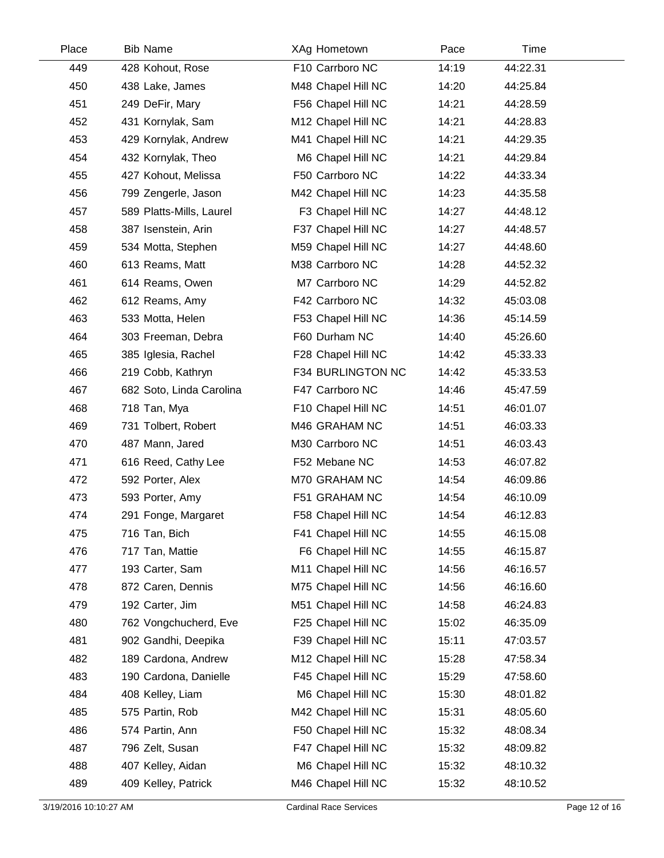| Place | <b>Bib Name</b>          | XAg Hometown       | Pace  | Time     |
|-------|--------------------------|--------------------|-------|----------|
| 449   | 428 Kohout, Rose         | F10 Carrboro NC    | 14:19 | 44:22.31 |
| 450   | 438 Lake, James          | M48 Chapel Hill NC | 14:20 | 44:25.84 |
| 451   | 249 DeFir, Mary          | F56 Chapel Hill NC | 14:21 | 44:28.59 |
| 452   | 431 Kornylak, Sam        | M12 Chapel Hill NC | 14:21 | 44:28.83 |
| 453   | 429 Kornylak, Andrew     | M41 Chapel Hill NC | 14:21 | 44:29.35 |
| 454   | 432 Kornylak, Theo       | M6 Chapel Hill NC  | 14:21 | 44:29.84 |
| 455   | 427 Kohout, Melissa      | F50 Carrboro NC    | 14:22 | 44:33.34 |
| 456   | 799 Zengerle, Jason      | M42 Chapel Hill NC | 14:23 | 44:35.58 |
| 457   | 589 Platts-Mills, Laurel | F3 Chapel Hill NC  | 14:27 | 44:48.12 |
| 458   | 387 Isenstein, Arin      | F37 Chapel Hill NC | 14:27 | 44:48.57 |
| 459   | 534 Motta, Stephen       | M59 Chapel Hill NC | 14:27 | 44:48.60 |
| 460   | 613 Reams, Matt          | M38 Carrboro NC    | 14:28 | 44:52.32 |
| 461   | 614 Reams, Owen          | M7 Carrboro NC     | 14:29 | 44:52.82 |
| 462   | 612 Reams, Amy           | F42 Carrboro NC    | 14:32 | 45:03.08 |
| 463   | 533 Motta, Helen         | F53 Chapel Hill NC | 14:36 | 45:14.59 |
| 464   | 303 Freeman, Debra       | F60 Durham NC      | 14:40 | 45:26.60 |
| 465   | 385 Iglesia, Rachel      | F28 Chapel Hill NC | 14:42 | 45:33.33 |
| 466   | 219 Cobb, Kathryn        | F34 BURLINGTON NC  | 14:42 | 45:33.53 |
| 467   | 682 Soto, Linda Carolina | F47 Carrboro NC    | 14:46 | 45:47.59 |
| 468   | 718 Tan, Mya             | F10 Chapel Hill NC | 14:51 | 46:01.07 |
| 469   | 731 Tolbert, Robert      | M46 GRAHAM NC      | 14:51 | 46:03.33 |
| 470   | 487 Mann, Jared          | M30 Carrboro NC    | 14:51 | 46:03.43 |
| 471   | 616 Reed, Cathy Lee      | F52 Mebane NC      | 14:53 | 46:07.82 |
| 472   | 592 Porter, Alex         | M70 GRAHAM NC      | 14:54 | 46:09.86 |
| 473   | 593 Porter, Amy          | F51 GRAHAM NC      | 14:54 | 46:10.09 |
| 474   | 291 Fonge, Margaret      | F58 Chapel Hill NC | 14:54 | 46:12.83 |
| 475   | 716 Tan, Bich            | F41 Chapel Hill NC | 14:55 | 46:15.08 |
| 476   | 717 Tan, Mattie          | F6 Chapel Hill NC  | 14:55 | 46:15.87 |
| 477   | 193 Carter, Sam          | M11 Chapel Hill NC | 14:56 | 46:16.57 |
| 478   | 872 Caren, Dennis        | M75 Chapel Hill NC | 14:56 | 46:16.60 |
| 479   | 192 Carter, Jim          | M51 Chapel Hill NC | 14:58 | 46:24.83 |
| 480   | 762 Vongchucherd, Eve    | F25 Chapel Hill NC | 15:02 | 46:35.09 |
| 481   | 902 Gandhi, Deepika      | F39 Chapel Hill NC | 15:11 | 47:03.57 |
| 482   | 189 Cardona, Andrew      | M12 Chapel Hill NC | 15:28 | 47:58.34 |
| 483   | 190 Cardona, Danielle    | F45 Chapel Hill NC | 15:29 | 47:58.60 |
| 484   | 408 Kelley, Liam         | M6 Chapel Hill NC  | 15:30 | 48:01.82 |
| 485   | 575 Partin, Rob          | M42 Chapel Hill NC | 15:31 | 48:05.60 |
| 486   | 574 Partin, Ann          | F50 Chapel Hill NC | 15:32 | 48:08.34 |
| 487   | 796 Zelt, Susan          | F47 Chapel Hill NC | 15:32 | 48:09.82 |
| 488   | 407 Kelley, Aidan        | M6 Chapel Hill NC  | 15:32 | 48:10.32 |
| 489   | 409 Kelley, Patrick      | M46 Chapel Hill NC | 15:32 | 48:10.52 |
|       |                          |                    |       |          |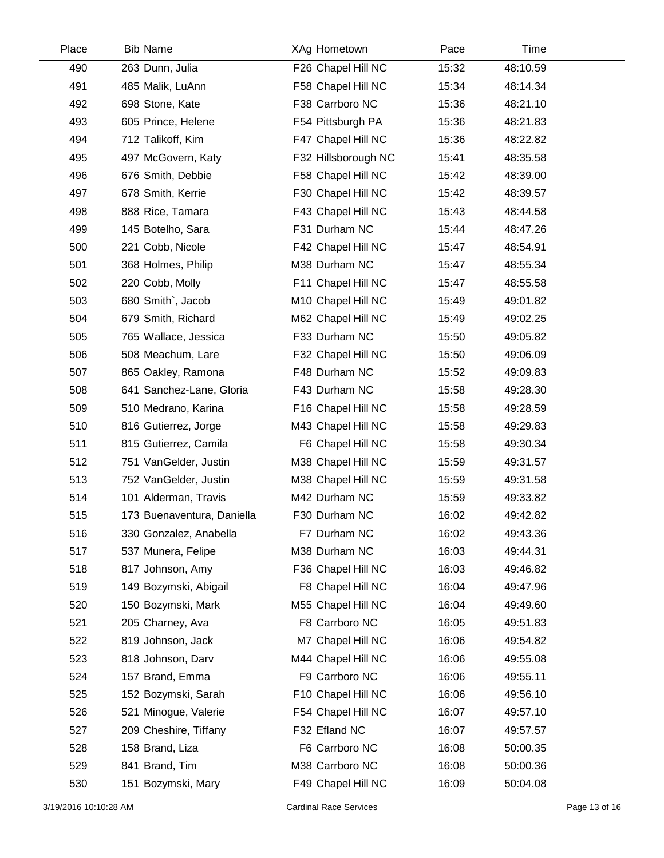| Place | <b>Bib Name</b>            | XAg Hometown        | Pace  | Time     |  |
|-------|----------------------------|---------------------|-------|----------|--|
| 490   | 263 Dunn, Julia            | F26 Chapel Hill NC  | 15:32 | 48:10.59 |  |
| 491   | 485 Malik, LuAnn           | F58 Chapel Hill NC  | 15:34 | 48:14.34 |  |
| 492   | 698 Stone, Kate            | F38 Carrboro NC     | 15:36 | 48:21.10 |  |
| 493   | 605 Prince, Helene         | F54 Pittsburgh PA   | 15:36 | 48:21.83 |  |
| 494   | 712 Talikoff, Kim          | F47 Chapel Hill NC  | 15:36 | 48:22.82 |  |
| 495   | 497 McGovern, Katy         | F32 Hillsborough NC | 15:41 | 48:35.58 |  |
| 496   | 676 Smith, Debbie          | F58 Chapel Hill NC  | 15:42 | 48:39.00 |  |
| 497   | 678 Smith, Kerrie          | F30 Chapel Hill NC  | 15:42 | 48:39.57 |  |
| 498   | 888 Rice, Tamara           | F43 Chapel Hill NC  | 15:43 | 48:44.58 |  |
| 499   | 145 Botelho, Sara          | F31 Durham NC       | 15:44 | 48:47.26 |  |
| 500   | 221 Cobb, Nicole           | F42 Chapel Hill NC  | 15:47 | 48:54.91 |  |
| 501   | 368 Holmes, Philip         | M38 Durham NC       | 15:47 | 48:55.34 |  |
| 502   | 220 Cobb, Molly            | F11 Chapel Hill NC  | 15:47 | 48:55.58 |  |
| 503   | 680 Smith`, Jacob          | M10 Chapel Hill NC  | 15:49 | 49:01.82 |  |
| 504   | 679 Smith, Richard         | M62 Chapel Hill NC  | 15:49 | 49:02.25 |  |
| 505   | 765 Wallace, Jessica       | F33 Durham NC       | 15:50 | 49:05.82 |  |
| 506   | 508 Meachum, Lare          | F32 Chapel Hill NC  | 15:50 | 49:06.09 |  |
| 507   | 865 Oakley, Ramona         | F48 Durham NC       | 15:52 | 49:09.83 |  |
| 508   | 641 Sanchez-Lane, Gloria   | F43 Durham NC       | 15:58 | 49:28.30 |  |
| 509   | 510 Medrano, Karina        | F16 Chapel Hill NC  | 15:58 | 49:28.59 |  |
| 510   | 816 Gutierrez, Jorge       | M43 Chapel Hill NC  | 15:58 | 49:29.83 |  |
| 511   | 815 Gutierrez, Camila      | F6 Chapel Hill NC   | 15:58 | 49:30.34 |  |
| 512   | 751 VanGelder, Justin      | M38 Chapel Hill NC  | 15:59 | 49:31.57 |  |
| 513   | 752 VanGelder, Justin      | M38 Chapel Hill NC  | 15:59 | 49:31.58 |  |
| 514   | 101 Alderman, Travis       | M42 Durham NC       | 15:59 | 49:33.82 |  |
| 515   | 173 Buenaventura, Daniella | F30 Durham NC       | 16:02 | 49:42.82 |  |
| 516   | 330 Gonzalez, Anabella     | F7 Durham NC        | 16:02 | 49:43.36 |  |
| 517   | 537 Munera, Felipe         | M38 Durham NC       | 16:03 | 49:44.31 |  |
| 518   | 817 Johnson, Amy           | F36 Chapel Hill NC  | 16:03 | 49:46.82 |  |
| 519   | 149 Bozymski, Abigail      | F8 Chapel Hill NC   | 16:04 | 49:47.96 |  |
| 520   | 150 Bozymski, Mark         | M55 Chapel Hill NC  | 16:04 | 49:49.60 |  |
| 521   | 205 Charney, Ava           | F8 Carrboro NC      | 16:05 | 49:51.83 |  |
| 522   | 819 Johnson, Jack          | M7 Chapel Hill NC   | 16:06 | 49:54.82 |  |
| 523   | 818 Johnson, Darv          | M44 Chapel Hill NC  | 16:06 | 49:55.08 |  |
| 524   | 157 Brand, Emma            | F9 Carrboro NC      | 16:06 | 49:55.11 |  |
| 525   | 152 Bozymski, Sarah        | F10 Chapel Hill NC  | 16:06 | 49:56.10 |  |
| 526   | 521 Minogue, Valerie       | F54 Chapel Hill NC  | 16:07 | 49:57.10 |  |
| 527   | 209 Cheshire, Tiffany      | F32 Efland NC       | 16:07 | 49:57.57 |  |
| 528   | 158 Brand, Liza            | F6 Carrboro NC      | 16:08 | 50:00.35 |  |
| 529   | 841 Brand, Tim             | M38 Carrboro NC     | 16:08 | 50:00.36 |  |
| 530   | 151 Bozymski, Mary         | F49 Chapel Hill NC  | 16:09 | 50:04.08 |  |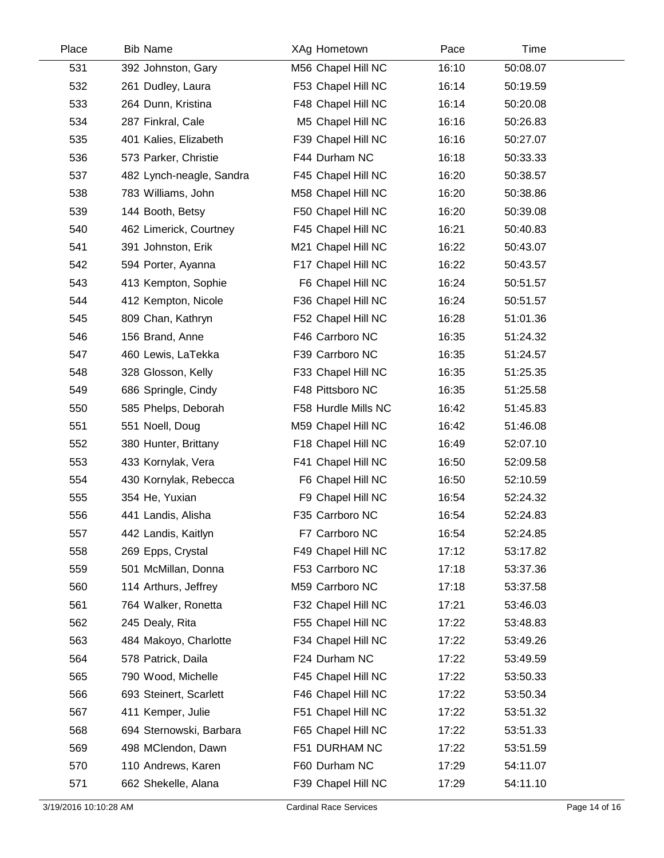| Place | <b>Bib Name</b>          | XAg Hometown        | Pace  | Time     |
|-------|--------------------------|---------------------|-------|----------|
| 531   | 392 Johnston, Gary       | M56 Chapel Hill NC  | 16:10 | 50:08.07 |
| 532   | 261 Dudley, Laura        | F53 Chapel Hill NC  | 16:14 | 50:19.59 |
| 533   | 264 Dunn, Kristina       | F48 Chapel Hill NC  | 16:14 | 50:20.08 |
| 534   | 287 Finkral, Cale        | M5 Chapel Hill NC   | 16:16 | 50:26.83 |
| 535   | 401 Kalies, Elizabeth    | F39 Chapel Hill NC  | 16:16 | 50:27.07 |
| 536   | 573 Parker, Christie     | F44 Durham NC       | 16:18 | 50:33.33 |
| 537   | 482 Lynch-neagle, Sandra | F45 Chapel Hill NC  | 16:20 | 50:38.57 |
| 538   | 783 Williams, John       | M58 Chapel Hill NC  | 16:20 | 50:38.86 |
| 539   | 144 Booth, Betsy         | F50 Chapel Hill NC  | 16:20 | 50:39.08 |
| 540   | 462 Limerick, Courtney   | F45 Chapel Hill NC  | 16:21 | 50:40.83 |
| 541   | 391 Johnston, Erik       | M21 Chapel Hill NC  | 16:22 | 50:43.07 |
| 542   | 594 Porter, Ayanna       | F17 Chapel Hill NC  | 16:22 | 50:43.57 |
| 543   | 413 Kempton, Sophie      | F6 Chapel Hill NC   | 16:24 | 50:51.57 |
| 544   | 412 Kempton, Nicole      | F36 Chapel Hill NC  | 16:24 | 50:51.57 |
| 545   | 809 Chan, Kathryn        | F52 Chapel Hill NC  | 16:28 | 51:01.36 |
| 546   | 156 Brand, Anne          | F46 Carrboro NC     | 16:35 | 51:24.32 |
| 547   | 460 Lewis, LaTekka       | F39 Carrboro NC     | 16:35 | 51:24.57 |
| 548   | 328 Glosson, Kelly       | F33 Chapel Hill NC  | 16:35 | 51:25.35 |
| 549   | 686 Springle, Cindy      | F48 Pittsboro NC    | 16:35 | 51:25.58 |
| 550   | 585 Phelps, Deborah      | F58 Hurdle Mills NC | 16:42 | 51:45.83 |
| 551   | 551 Noell, Doug          | M59 Chapel Hill NC  | 16:42 | 51:46.08 |
| 552   | 380 Hunter, Brittany     | F18 Chapel Hill NC  | 16:49 | 52:07.10 |
| 553   | 433 Kornylak, Vera       | F41 Chapel Hill NC  | 16:50 | 52:09.58 |
| 554   | 430 Kornylak, Rebecca    | F6 Chapel Hill NC   | 16:50 | 52:10.59 |
| 555   | 354 He, Yuxian           | F9 Chapel Hill NC   | 16:54 | 52:24.32 |
| 556   | 441 Landis, Alisha       | F35 Carrboro NC     | 16:54 | 52:24.83 |
| 557   | 442 Landis, Kaitlyn      | F7 Carrboro NC      | 16:54 | 52:24.85 |
| 558   | 269 Epps, Crystal        | F49 Chapel Hill NC  | 17:12 | 53:17.82 |
| 559   | 501 McMillan, Donna      | F53 Carrboro NC     | 17:18 | 53:37.36 |
| 560   | 114 Arthurs, Jeffrey     | M59 Carrboro NC     | 17:18 | 53:37.58 |
| 561   | 764 Walker, Ronetta      | F32 Chapel Hill NC  | 17:21 | 53:46.03 |
| 562   | 245 Dealy, Rita          | F55 Chapel Hill NC  | 17:22 | 53:48.83 |
| 563   | 484 Makoyo, Charlotte    | F34 Chapel Hill NC  | 17:22 | 53:49.26 |
| 564   | 578 Patrick, Daila       | F24 Durham NC       | 17:22 | 53:49.59 |
| 565   | 790 Wood, Michelle       | F45 Chapel Hill NC  | 17:22 | 53:50.33 |
| 566   | 693 Steinert, Scarlett   | F46 Chapel Hill NC  | 17:22 | 53:50.34 |
| 567   | 411 Kemper, Julie        | F51 Chapel Hill NC  | 17:22 | 53:51.32 |
| 568   | 694 Sternowski, Barbara  | F65 Chapel Hill NC  | 17:22 | 53:51.33 |
| 569   | 498 MClendon, Dawn       | F51 DURHAM NC       | 17:22 | 53:51.59 |
| 570   | 110 Andrews, Karen       | F60 Durham NC       | 17:29 | 54:11.07 |
| 571   | 662 Shekelle, Alana      | F39 Chapel Hill NC  | 17:29 | 54:11.10 |
|       |                          |                     |       |          |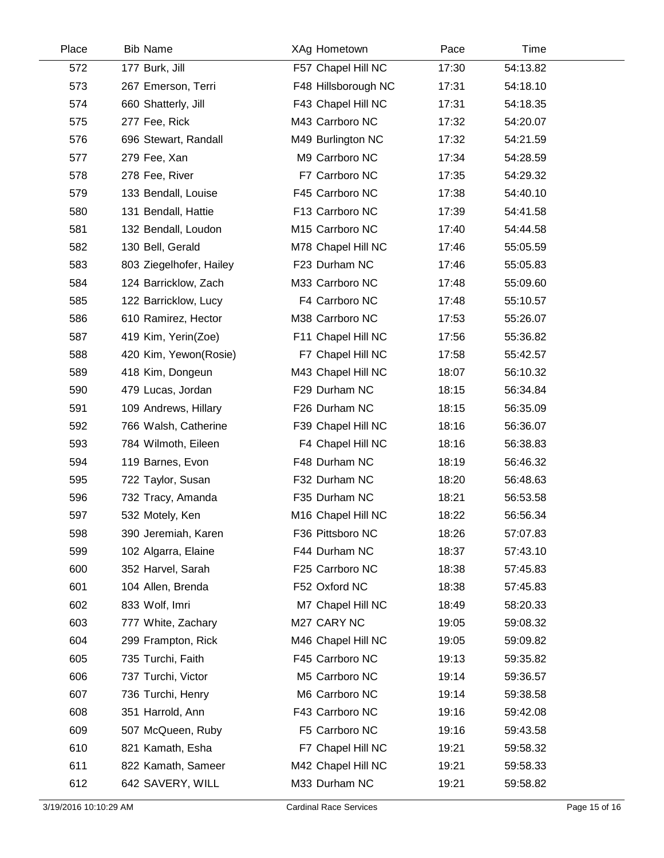| Place | <b>Bib Name</b>         | XAg Hometown        | Pace  | Time     |
|-------|-------------------------|---------------------|-------|----------|
| 572   | 177 Burk, Jill          | F57 Chapel Hill NC  | 17:30 | 54:13.82 |
| 573   | 267 Emerson, Terri      | F48 Hillsborough NC | 17:31 | 54:18.10 |
| 574   | 660 Shatterly, Jill     | F43 Chapel Hill NC  | 17:31 | 54:18.35 |
| 575   | 277 Fee, Rick           | M43 Carrboro NC     | 17:32 | 54:20.07 |
| 576   | 696 Stewart, Randall    | M49 Burlington NC   | 17:32 | 54:21.59 |
| 577   | 279 Fee, Xan            | M9 Carrboro NC      | 17:34 | 54:28.59 |
| 578   | 278 Fee, River          | F7 Carrboro NC      | 17:35 | 54:29.32 |
| 579   | 133 Bendall, Louise     | F45 Carrboro NC     | 17:38 | 54:40.10 |
| 580   | 131 Bendall, Hattie     | F13 Carrboro NC     | 17:39 | 54:41.58 |
| 581   | 132 Bendall, Loudon     | M15 Carrboro NC     | 17:40 | 54:44.58 |
| 582   | 130 Bell, Gerald        | M78 Chapel Hill NC  | 17:46 | 55:05.59 |
| 583   | 803 Ziegelhofer, Hailey | F23 Durham NC       | 17:46 | 55:05.83 |
| 584   | 124 Barricklow, Zach    | M33 Carrboro NC     | 17:48 | 55:09.60 |
| 585   | 122 Barricklow, Lucy    | F4 Carrboro NC      | 17:48 | 55:10.57 |
| 586   | 610 Ramirez, Hector     | M38 Carrboro NC     | 17:53 | 55:26.07 |
| 587   | 419 Kim, Yerin(Zoe)     | F11 Chapel Hill NC  | 17:56 | 55:36.82 |
| 588   | 420 Kim, Yewon(Rosie)   | F7 Chapel Hill NC   | 17:58 | 55:42.57 |
| 589   | 418 Kim, Dongeun        | M43 Chapel Hill NC  | 18:07 | 56:10.32 |
| 590   | 479 Lucas, Jordan       | F29 Durham NC       | 18:15 | 56:34.84 |
| 591   | 109 Andrews, Hillary    | F26 Durham NC       | 18:15 | 56:35.09 |
| 592   | 766 Walsh, Catherine    | F39 Chapel Hill NC  | 18:16 | 56:36.07 |
| 593   | 784 Wilmoth, Eileen     | F4 Chapel Hill NC   | 18:16 | 56:38.83 |
| 594   | 119 Barnes, Evon        | F48 Durham NC       | 18:19 | 56:46.32 |
| 595   | 722 Taylor, Susan       | F32 Durham NC       | 18:20 | 56:48.63 |
| 596   | 732 Tracy, Amanda       | F35 Durham NC       | 18:21 | 56:53.58 |
| 597   | 532 Motely, Ken         | M16 Chapel Hill NC  | 18:22 | 56:56.34 |
| 598   | 390 Jeremiah, Karen     | F36 Pittsboro NC    | 18:26 | 57:07.83 |
| 599   | 102 Algarra, Elaine     | F44 Durham NC       | 18:37 | 57:43.10 |
| 600   | 352 Harvel, Sarah       | F25 Carrboro NC     | 18:38 | 57:45.83 |
| 601   | 104 Allen, Brenda       | F52 Oxford NC       | 18:38 | 57:45.83 |
| 602   | 833 Wolf, Imri          | M7 Chapel Hill NC   | 18:49 | 58:20.33 |
| 603   | 777 White, Zachary      | M27 CARY NC         | 19:05 | 59:08.32 |
| 604   | 299 Frampton, Rick      | M46 Chapel Hill NC  | 19:05 | 59:09.82 |
| 605   | 735 Turchi, Faith       | F45 Carrboro NC     | 19:13 | 59:35.82 |
| 606   | 737 Turchi, Victor      | M5 Carrboro NC      | 19:14 | 59:36.57 |
| 607   | 736 Turchi, Henry       | M6 Carrboro NC      | 19:14 | 59:38.58 |
| 608   | 351 Harrold, Ann        | F43 Carrboro NC     | 19:16 | 59:42.08 |
| 609   | 507 McQueen, Ruby       | F5 Carrboro NC      | 19:16 | 59:43.58 |
| 610   | 821 Kamath, Esha        | F7 Chapel Hill NC   | 19:21 | 59:58.32 |
| 611   | 822 Kamath, Sameer      | M42 Chapel Hill NC  | 19:21 | 59:58.33 |
| 612   | 642 SAVERY, WILL        | M33 Durham NC       | 19:21 | 59:58.82 |
|       |                         |                     |       |          |